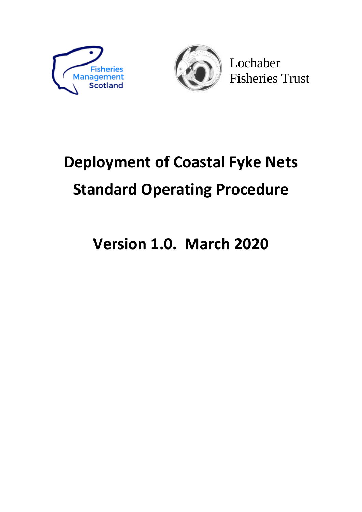



Lochaber Fisheries Trust

# **Deployment of Coastal Fyke Nets Standard Operating Procedure**

# **Version 1.0. March 2020**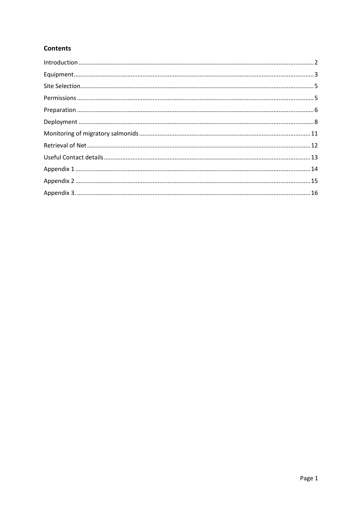# **Contents**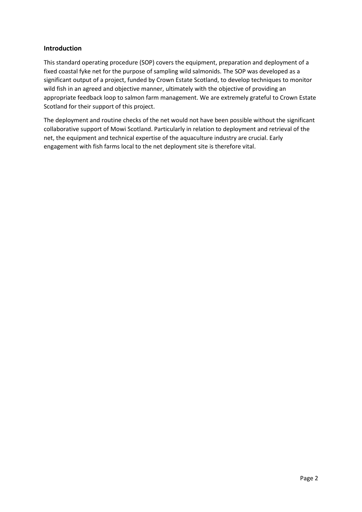#### <span id="page-2-0"></span>**Introduction**

This standard operating procedure (SOP) covers the equipment, preparation and deployment of a fixed coastal fyke net for the purpose of sampling wild salmonids. The SOP was developed as a significant output of a project, funded by Crown Estate Scotland, to develop techniques to monitor wild fish in an agreed and objective manner, ultimately with the objective of providing an appropriate feedback loop to salmon farm management. We are extremely grateful to Crown Estate Scotland for their support of this project.

The deployment and routine checks of the net would not have been possible without the significant collaborative support of Mowi Scotland. Particularly in relation to deployment and retrieval of the net, the equipment and technical expertise of the aquaculture industry are crucial. Early engagement with fish farms local to the net deployment site is therefore vital.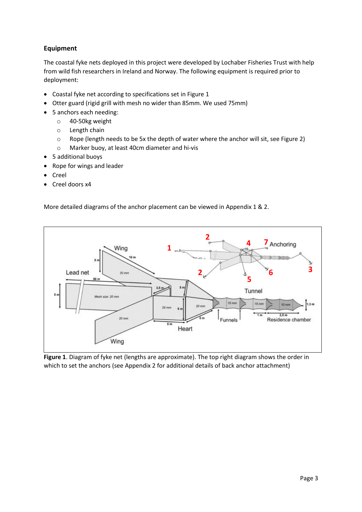# <span id="page-3-0"></span>**Equipment**

The coastal fyke nets deployed in this project were developed by Lochaber Fisheries Trust with help from wild fish researchers in Ireland and Norway. The following equipment is required prior to deployment:

- Coastal fyke net according to specifications set in Figure 1
- Otter guard (rigid grill with mesh no wider than 85mm. We used 75mm)
- 5 anchors each needing:
	- o 40-50kg weight
	- o Length chain
	- o Rope (length needs to be 5x the depth of water where the anchor will sit, see Figure 2)
	- o Marker buoy, at least 40cm diameter and hi-vis
- 5 additional buoys
- Rope for wings and leader
- Creel
- Creel doors x4

More detailed diagrams of the anchor placement can be viewed in Appendix 1 & 2.



**Figure 1**. Diagram of fyke net (lengths are approximate). The top right diagram shows the order in which to set the anchors (see Appendix 2 for additional details of back anchor attachment)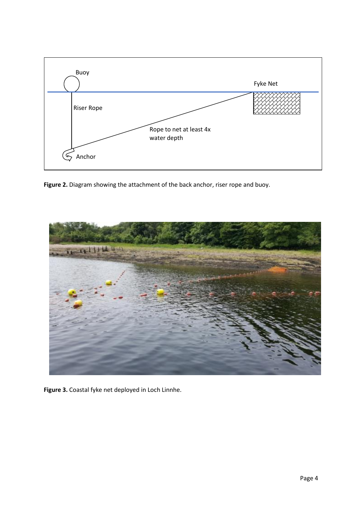

**Figure 2.** Diagram showing the attachment of the back anchor, riser rope and buoy.



**Figure 3.** Coastal fyke net deployed in Loch Linnhe.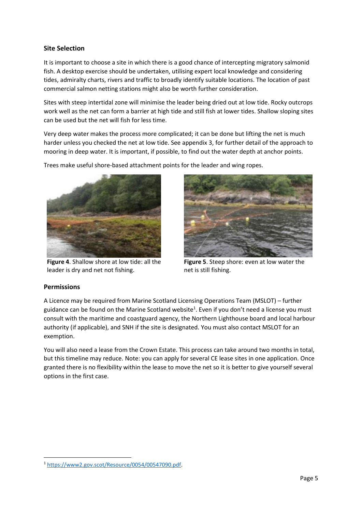#### <span id="page-5-0"></span>**Site Selection**

It is important to choose a site in which there is a good chance of intercepting migratory salmonid fish. A desktop exercise should be undertaken, utilising expert local knowledge and considering tides, admiralty charts, rivers and traffic to broadly identify suitable locations. The location of past commercial salmon netting stations might also be worth further consideration.

Sites with steep intertidal zone will minimise the leader being dried out at low tide. Rocky outcrops work well as the net can form a barrier at high tide and still fish at lower tides. Shallow sloping sites can be used but the net will fish for less time.

Very deep water makes the process more complicated; it can be done but lifting the net is much harder unless you checked the net at low tide. See appendix 3, for further detail of the approach to mooring in deep water. It is important, if possible, to find out the water depth at anchor points.

Trees make useful shore-based attachment points for the leader and wing ropes.



**Figure 4**. Shallow shore at low tide: all the leader is dry and net not fishing.



**Figure 5**. Steep shore: even at low water the net is still fishing.

#### <span id="page-5-1"></span>**Permissions**

A Licence may be required from Marine Scotland Licensing Operations Team (MSLOT) – further guidance can be found on the Marine Scotland website<sup>1</sup>. Even if you don't need a license you must consult with the maritime and coastguard agency, the Northern Lighthouse board and local harbour authority (if applicable), and SNH if the site is designated. You must also contact MSLOT for an exemption.

You will also need a lease from the Crown Estate. This process can take around two months in total, but this timeline may reduce. Note: you can apply for several CE lease sites in one application. Once granted there is no flexibility within the lease to move the net so it is better to give yourself several options in the first case.

<sup>1</sup> [https://www2.gov.scot/Resource/0054/00547090.pdf.](https://www2.gov.scot/Resource/0054/00547090.pdf)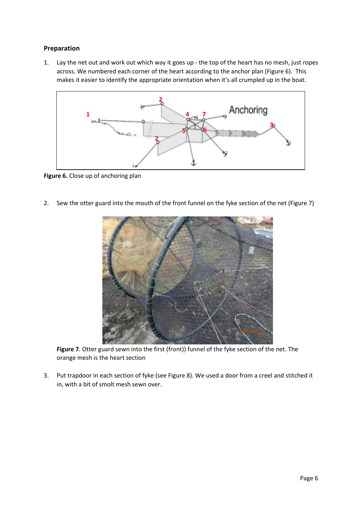### <span id="page-6-0"></span>**Preparation**

1. Lay the net out and work out which way it goes up - the top of the heart has no mesh, just ropes across. We numbered each corner of the heart according to the anchor plan (Figure 6). This makes it easier to identify the appropriate orientation when it's all crumpled up in the boat.



**Figure 6.** Close up of anchoring plan

2. Sew the otter guard into the mouth of the front funnel on the fyke section of the net (Figure 7)



**Figure 7**. Otter guard sewn into the first (front)) funnel of the fyke section of the net. The orange mesh is the heart section

3. Put trapdoor in each section of fyke (see Figure 8). We used a door from a creel and stitched it in, with a bit of smolt mesh sewn over.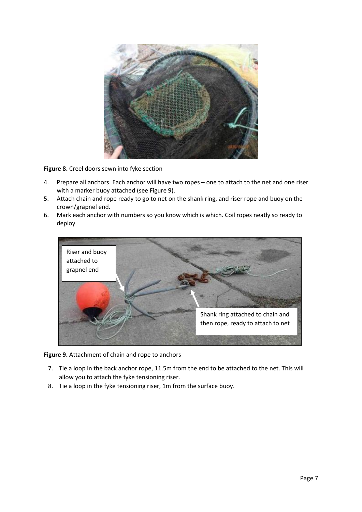

**Figure 8.** Creel doors sewn into fyke section

- 4. Prepare all anchors. Each anchor will have two ropes one to attach to the net and one riser with a marker buoy attached (see Figure 9).
- 5. Attach chain and rope ready to go to net on the shank ring, and riser rope and buoy on the crown/grapnel end.
- 6. Mark each anchor with numbers so you know which is which. Coil ropes neatly so ready to deploy



**Figure 9.** Attachment of chain and rope to anchors

- 7. Tie a loop in the back anchor rope, 11.5m from the end to be attached to the net. This will allow you to attach the fyke tensioning riser.
- 8. Tie a loop in the fyke tensioning riser, 1m from the surface buoy.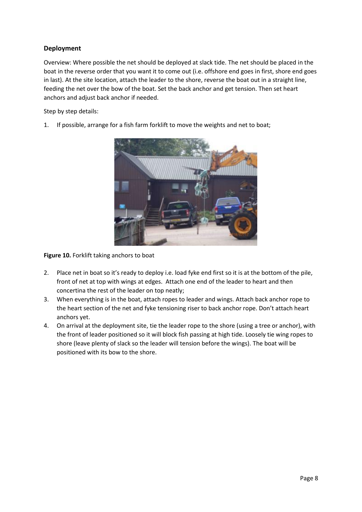# <span id="page-8-0"></span>**Deployment**

Overview: Where possible the net should be deployed at slack tide. The net should be placed in the boat in the reverse order that you want it to come out (i.e. offshore end goes in first, shore end goes in last). At the site location, attach the leader to the shore, reverse the boat out in a straight line, feeding the net over the bow of the boat. Set the back anchor and get tension. Then set heart anchors and adjust back anchor if needed.

Step by step details:

1. If possible, arrange for a fish farm forklift to move the weights and net to boat;



**Figure 10.** Forklift taking anchors to boat

- 2. Place net in boat so it's ready to deploy i.e. load fyke end first so it is at the bottom of the pile, front of net at top with wings at edges. Attach one end of the leader to heart and then concertina the rest of the leader on top neatly;
- 3. When everything is in the boat, attach ropes to leader and wings. Attach back anchor rope to the heart section of the net and fyke tensioning riser to back anchor rope. Don't attach heart anchors yet.
- 4. On arrival at the deployment site, tie the leader rope to the shore (using a tree or anchor), with the front of leader positioned so it will block fish passing at high tide. Loosely tie wing ropes to shore (leave plenty of slack so the leader will tension before the wings). The boat will be positioned with its bow to the shore.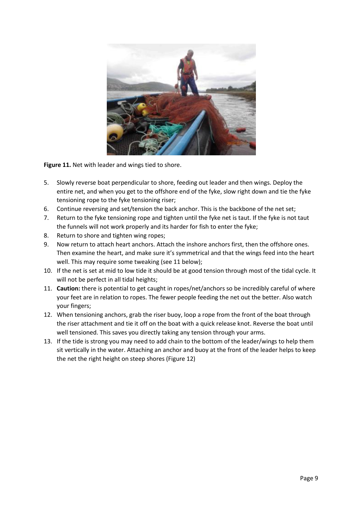

**Figure 11.** Net with leader and wings tied to shore.

- 5. Slowly reverse boat perpendicular to shore, feeding out leader and then wings. Deploy the entire net, and when you get to the offshore end of the fyke, slow right down and tie the fyke tensioning rope to the fyke tensioning riser;
- 6. Continue reversing and set/tension the back anchor. This is the backbone of the net set;
- 7. Return to the fyke tensioning rope and tighten until the fyke net is taut. If the fyke is not taut the funnels will not work properly and its harder for fish to enter the fyke;
- 8. Return to shore and tighten wing ropes;
- 9. Now return to attach heart anchors. Attach the inshore anchors first, then the offshore ones. Then examine the heart, and make sure it's symmetrical and that the wings feed into the heart well. This may require some tweaking (see 11 below);
- 10. If the net is set at mid to low tide it should be at good tension through most of the tidal cycle. It will not be perfect in all tidal heights;
- 11. **Caution:** there is potential to get caught in ropes/net/anchors so be incredibly careful of where your feet are in relation to ropes. The fewer people feeding the net out the better. Also watch your fingers;
- 12. When tensioning anchors, grab the riser buoy, loop a rope from the front of the boat through the riser attachment and tie it off on the boat with a quick release knot. Reverse the boat until well tensioned. This saves you directly taking any tension through your arms.
- 13. If the tide is strong you may need to add chain to the bottom of the leader/wings to help them sit vertically in the water. Attaching an anchor and buoy at the front of the leader helps to keep the net the right height on steep shores (Figure 12)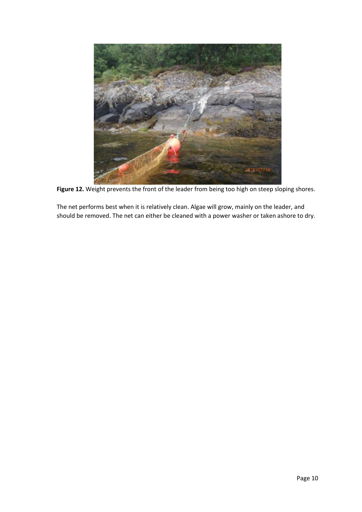

**Figure 12.** Weight prevents the front of the leader from being too high on steep sloping shores.

The net performs best when it is relatively clean. Algae will grow, mainly on the leader, and should be removed. The net can either be cleaned with a power washer or taken ashore to dry.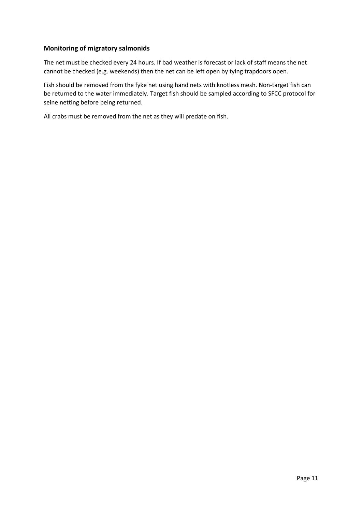#### <span id="page-11-0"></span>**Monitoring of migratory salmonids**

The net must be checked every 24 hours. If bad weather is forecast or lack of staff means the net cannot be checked (e.g. weekends) then the net can be left open by tying trapdoors open.

Fish should be removed from the fyke net using hand nets with knotless mesh. Non-target fish can be returned to the water immediately. Target fish should be sampled according to SFCC protocol for seine netting before being returned.

All crabs must be removed from the net as they will predate on fish.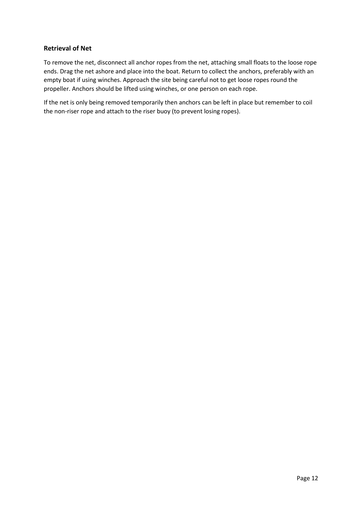#### <span id="page-12-0"></span>**Retrieval of Net**

To remove the net, disconnect all anchor ropes from the net, attaching small floats to the loose rope ends. Drag the net ashore and place into the boat. Return to collect the anchors, preferably with an empty boat if using winches. Approach the site being careful not to get loose ropes round the propeller. Anchors should be lifted using winches, or one person on each rope.

If the net is only being removed temporarily then anchors can be left in place but remember to coil the non-riser rope and attach to the riser buoy (to prevent losing ropes).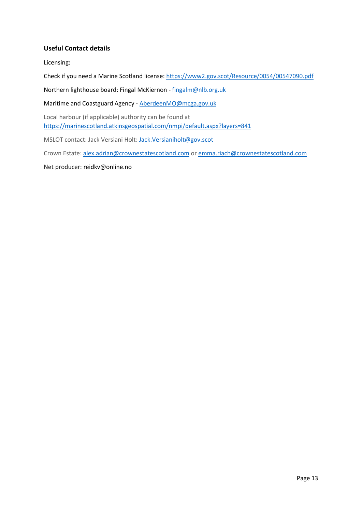### <span id="page-13-0"></span>**Useful Contact details**

Licensing:

Check if you need a Marine Scotland license:<https://www2.gov.scot/Resource/0054/00547090.pdf>

Northern lighthouse board: Fingal McKiernon - [fingalm@nlb.org.uk](mailto:fingalm@nlb.org.uk)

Maritime and Coastguard Agency - [AberdeenMO@mcga.gov.uk](mailto:AberdeenMO@mcga.gov.uk)

Local harbour (if applicable) authority can be found at <https://marinescotland.atkinsgeospatial.com/nmpi/default.aspx?layers=841>

MSLOT contact: Jack Versiani Holt: [Jack.Versianiholt@gov.scot](mailto:Jack.Versianiholt@gov.scot)

Crown Estate: [alex.adrian@crownestatescotland.com](mailto:alex.adrian@crownestatescotland.com) or [emma.riach@crownestatescotland.com](mailto:emma.riach@crownestatescotland.com)

Net producer: reidkv@online.no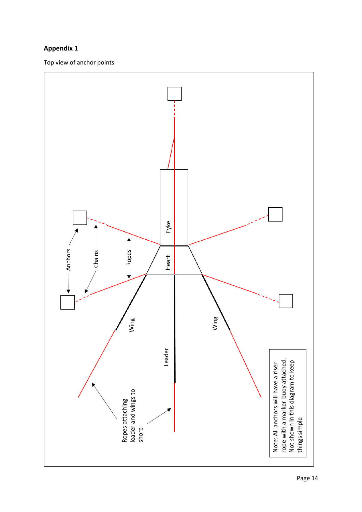# <span id="page-14-0"></span>**Appendix 1**

Top view of anchor points

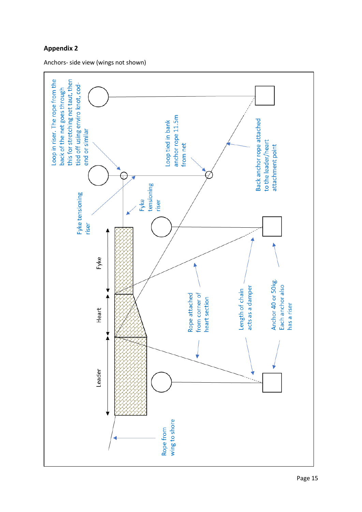# <span id="page-15-0"></span>**Appendix 2**

Anchors- side view (wings not shown)